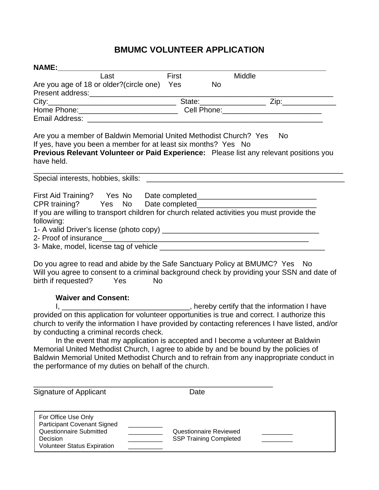# **BMUMC VOLUNTEER APPLICATION**

| <b>NAME:___________</b>                                                                                                                                                                                                                        |       |                               |        |
|------------------------------------------------------------------------------------------------------------------------------------------------------------------------------------------------------------------------------------------------|-------|-------------------------------|--------|
| Last                                                                                                                                                                                                                                           | First |                               | Middle |
| Are you age of 18 or older?(circle one) Yes                                                                                                                                                                                                    |       | <b>No</b>                     |        |
|                                                                                                                                                                                                                                                |       |                               |        |
|                                                                                                                                                                                                                                                |       |                               |        |
|                                                                                                                                                                                                                                                |       |                               |        |
|                                                                                                                                                                                                                                                |       |                               |        |
| Are you a member of Baldwin Memorial United Methodist Church? Yes No<br>If yes, have you been a member for at least six months? Yes No<br>Previous Relevant Volunteer or Paid Experience: Please list any relevant positions you<br>have held. |       |                               |        |
|                                                                                                                                                                                                                                                |       |                               |        |
|                                                                                                                                                                                                                                                |       |                               |        |
| CPR training? Yes No Date completed                                                                                                                                                                                                            |       |                               |        |
| If you are willing to transport children for church related activities you must provide the                                                                                                                                                    |       |                               |        |
| following:                                                                                                                                                                                                                                     |       |                               |        |
|                                                                                                                                                                                                                                                |       |                               |        |
|                                                                                                                                                                                                                                                |       |                               |        |
|                                                                                                                                                                                                                                                |       |                               |        |
| Will you agree to consent to a criminal background check by providing your SSN and date of<br>birth if requested? Yes<br><b>No</b>                                                                                                             |       |                               |        |
| <b>Waiver and Consent:</b>                                                                                                                                                                                                                     |       |                               |        |
| provided on this application for volunteer opportunities is true and correct. I authorize this                                                                                                                                                 |       |                               |        |
| church to verify the information I have provided by contacting references I have listed, and/or                                                                                                                                                |       |                               |        |
| by conducting a criminal records check.                                                                                                                                                                                                        |       |                               |        |
| In the event that my application is accepted and I become a volunteer at Baldwin                                                                                                                                                               |       |                               |        |
| Memorial United Methodist Church, I agree to abide by and be bound by the policies of                                                                                                                                                          |       |                               |        |
| Baldwin Memorial United Methodist Church and to refrain from any inappropriate conduct in                                                                                                                                                      |       |                               |        |
| the performance of my duties on behalf of the church.                                                                                                                                                                                          |       |                               |        |
|                                                                                                                                                                                                                                                |       |                               |        |
| <b>Signature of Applicant</b>                                                                                                                                                                                                                  |       | Date                          |        |
| For Office Use Only                                                                                                                                                                                                                            |       |                               |        |
| Participant Covenant Signed                                                                                                                                                                                                                    |       |                               |        |
| Questionnaire Submitted                                                                                                                                                                                                                        |       | <b>Questionnaire Reviewed</b> |        |
| Decision                                                                                                                                                                                                                                       |       | <b>SSP Training Completed</b> |        |
| <b>Volunteer Status Expiration</b>                                                                                                                                                                                                             |       |                               |        |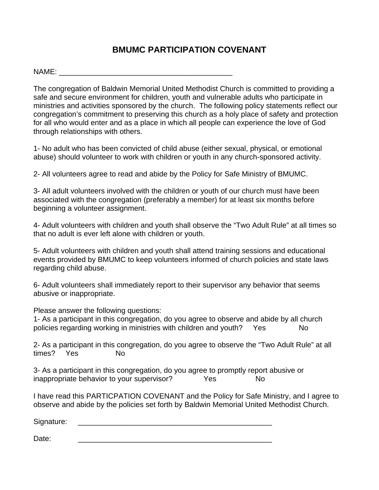## **BMUMC PARTICIPATION COVENANT**

### $NAME:$

The congregation of Baldwin Memorial United Methodist Church is committed to providing a safe and secure environment for children, youth and vulnerable adults who participate in ministries and activities sponsored by the church. The following policy statements reflect our congregation's commitment to preserving this church as a holy place of safety and protection for all who would enter and as a place in which all people can experience the love of God through relationships with others.

1- No adult who has been convicted of child abuse (either sexual, physical, or emotional abuse) should volunteer to work with children or youth in any church-sponsored activity.

2- All volunteers agree to read and abide by the Policy for Safe Ministry of BMUMC.

3- All adult volunteers involved with the children or youth of our church must have been associated with the congregation (preferably a member) for at least six months before beginning a volunteer assignment.

4- Adult volunteers with children and youth shall observe the "Two Adult Rule" at all times so that no adult is ever left alone with children or youth.

5- Adult volunteers with children and youth shall attend training sessions and educational events provided by BMUMC to keep volunteers informed of church policies and state laws regarding child abuse.

6- Adult volunteers shall immediately report to their supervisor any behavior that seems abusive or inappropriate.

Please answer the following questions:

1- As a participant in this congregation, do you agree to observe and abide by all church policies regarding working in ministries with children and youth? Yes No

2- As a participant in this congregation, do you agree to observe the "Two Adult Rule" at all times? Yes No

3- As a participant in this congregation, do you agree to promptly report abusive or inappropriate behavior to your supervisor? Yes No

I have read this PARTICPATION COVENANT and the Policy for Safe Ministry, and I agree to observe and abide by the policies set forth by Baldwin Memorial United Methodist Church.

Signature:

Date: \_\_\_\_\_\_\_\_\_\_\_\_\_\_\_\_\_\_\_\_\_\_\_\_\_\_\_\_\_\_\_\_\_\_\_\_\_\_\_\_\_\_\_\_\_\_\_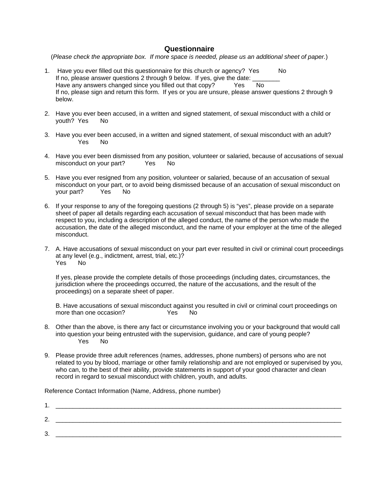#### **Questionnaire**

(*Please check the appropriate box. If more space is needed, please us an additional sheet of paper.*)

- 1. Have you ever filled out this questionnaire for this church or agency? Yes No If no, please answer questions 2 through 9 below. If yes, give the date: Have any answers changed since you filled out that copy? Yes No If no, please sign and return this form. If yes or you are unsure, please answer questions 2 through 9 below.
- 2. Have you ever been accused, in a written and signed statement, of sexual misconduct with a child or youth? Yes No
- 3. Have you ever been accused, in a written and signed statement, of sexual misconduct with an adult? Yes No
- 4. Have you ever been dismissed from any position, volunteer or salaried, because of accusations of sexual misconduct on your part? Yes No
- 5. Have you ever resigned from any position, volunteer or salaried, because of an accusation of sexual misconduct on your part, or to avoid being dismissed because of an accusation of sexual misconduct on your part? Yes No
- 6. If your response to any of the foregoing questions (2 through 5) is "yes", please provide on a separate sheet of paper all details regarding each accusation of sexual misconduct that has been made with respect to you, including a description of the alleged conduct, the name of the person who made the accusation, the date of the alleged misconduct, and the name of your employer at the time of the alleged misconduct.
- 7. A. Have accusations of sexual misconduct on your part ever resulted in civil or criminal court proceedings at any level (e.g., indictment, arrest, trial, etc.)? Yes No

If yes, please provide the complete details of those proceedings (including dates, circumstances, the jurisdiction where the proceedings occurred, the nature of the accusations, and the result of the proceedings) on a separate sheet of paper.

B. Have accusations of sexual misconduct against you resulted in civil or criminal court proceedings on more than one occasion? The State State State State State State State State State State State State State State

- 8. Other than the above, is there any fact or circumstance involving you or your background that would call into question your being entrusted with the supervision, guidance, and care of young people? Yes No
- 9. Please provide three adult references (names, addresses, phone numbers) of persons who are not related to you by blood, marriage or other family relationship and are not employed or supervised by you, who can, to the best of their ability, provide statements in support of your good character and clean record in regard to sexual misconduct with children, youth, and adults.

Reference Contact Information (Name, Address, phone number)

1. \_\_\_\_\_\_\_\_\_\_\_\_\_\_\_\_\_\_\_\_\_\_\_\_\_\_\_\_\_\_\_\_\_\_\_\_\_\_\_\_\_\_\_\_\_\_\_\_\_\_\_\_\_\_\_\_\_\_\_\_\_\_\_\_\_\_\_\_\_\_\_\_\_\_\_\_\_\_\_\_\_\_\_ 2. \_\_\_\_\_\_\_\_\_\_\_\_\_\_\_\_\_\_\_\_\_\_\_\_\_\_\_\_\_\_\_\_\_\_\_\_\_\_\_\_\_\_\_\_\_\_\_\_\_\_\_\_\_\_\_\_\_\_\_\_\_\_\_\_\_\_\_\_\_\_\_\_\_\_\_\_\_\_\_\_\_\_\_  $3.$